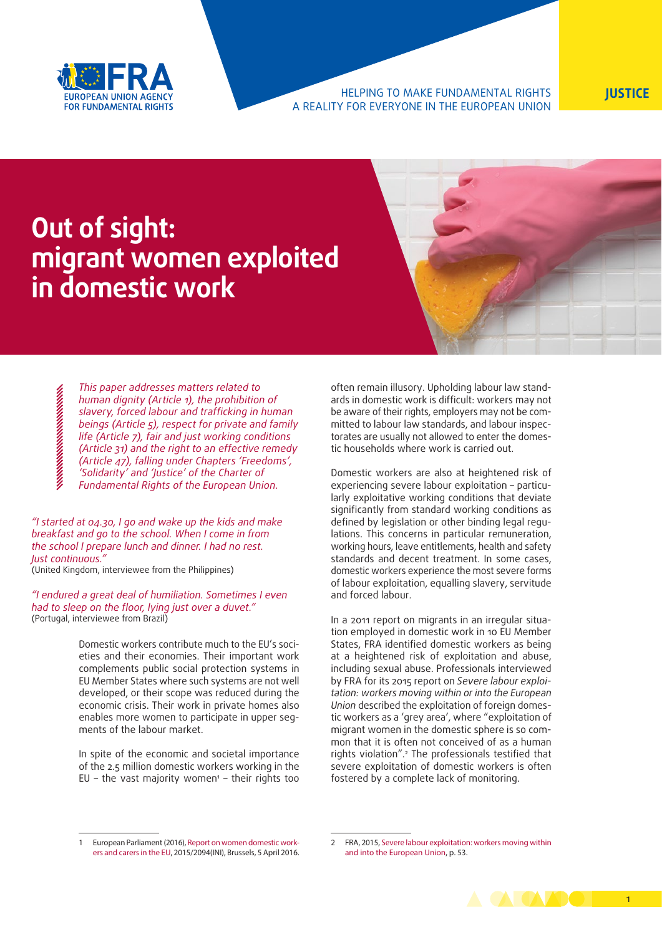

### HELPING TO MAKE FUNDAMENTAL RIGHTS **JUSTICE** A REALITY FOR EVERYONE IN THE EUROPEAN UNION

# **Out of sight: migrant women exploited in domestic work**

*This paper addresses matters related to human dignity (Article 1), the prohibition of slavery, forced labour and trafficking in human beings (Article 5), respect for private and family life (Article 7), fair and just working conditions (Article 31) and the right to an effective remedy (Article 47), falling under Chapters 'Freedoms', 'Solidarity' and 'Justice' of the Charter of Fundamental Rights of the European Union.* 

*"I started at 04.30, I go and wake up the kids and make breakfast and go to the school. When I come in from the school I prepare lunch and dinner. I had no rest. Just continuous."* 

(United Kingdom, interviewee from the Philippines)

*"I endured a great deal of humiliation. Sometimes I even had to sleep on the floor, lying just over a duvet."* (Portugal, interviewee from Brazil)

> Domestic workers contribute much to the EU's societies and their economies. Their important work complements public social protection systems in EU Member States where such systems are not well developed, or their scope was reduced during the economic crisis. Their work in private homes also enables more women to participate in upper segments of the labour market.

> In spite of the economic and societal importance of the 2.5 million domestic workers working in the  $EU$  – the vast majority women<sup>1</sup> – their rights too

often remain illusory. Upholding labour law standards in domestic work is difficult: workers may not be aware of their rights, employers may not be committed to labour law standards, and labour inspectorates are usually not allowed to enter the domestic households where work is carried out.

Domestic workers are also at heightened risk of experiencing severe labour exploitation – particularly exploitative working conditions that deviate significantly from standard working conditions as defined by legislation or other binding legal regulations. This concerns in particular remuneration, working hours, leave entitlements, health and safety standards and decent treatment. In some cases, domestic workers experience the most severe forms of labour exploitation, equalling slavery, servitude and forced labour.

In a 2011 report on migrants in an irregular situation employed in domestic work in 10 EU Member States, FRA identified domestic workers as being at a heightened risk of exploitation and abuse, including sexual abuse. Professionals interviewed by FRA for its 2015 report on *Severe labour exploitation: workers moving within or into the European Union* described the exploitation of foreign domestic workers as a 'grey area', where "exploitation of migrant women in the domestic sphere is so common that it is often not conceived of as a human rights violation".2 The professionals testified that severe exploitation of domestic workers is often fostered by a complete lack of monitoring.

<sup>2</sup> FRA, 2015, [Severe labour exploitation: workers moving within](http://fra.europa.eu/en/publication/2015/severe-labour-exploitation-workers-moving-within-or-european-union) [and into the European Union,](http://fra.europa.eu/en/publication/2015/severe-labour-exploitation-workers-moving-within-or-european-union) p. 53.



<sup>1</sup> European Parliament (2016), [Report on women domestic work](http://www.europarl.europa.eu/sides/getDoc.do?pubRef=-//EP//TEXT+REPORT+A8-2016-0053+0+DOC+XML+V0//EN)[ers and carers in the EU,](http://www.europarl.europa.eu/sides/getDoc.do?pubRef=-//EP//TEXT+REPORT+A8-2016-0053+0+DOC+XML+V0//EN) 2015/2094(INI), Brussels, 5 April 2016.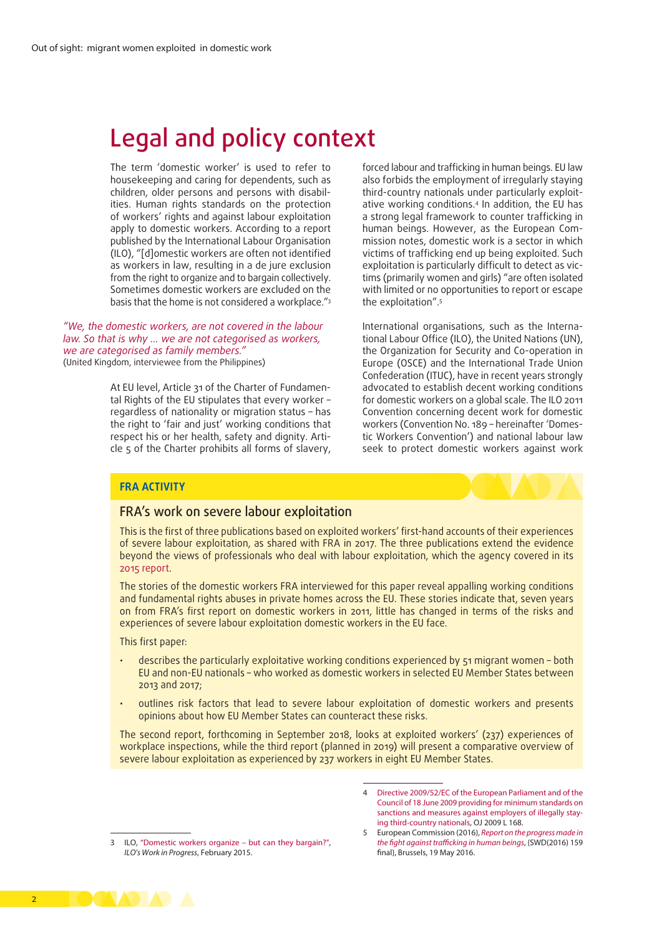# Legal and policy context

The term 'domestic worker' is used to refer to housekeeping and caring for dependents, such as children, older persons and persons with disabilities. Human rights standards on the protection of workers' rights and against labour exploitation apply to domestic workers. According to a report published by the International Labour Organisation (ILO), "[d]omestic workers are often not identified as workers in law, resulting in a de jure exclusion from the right to organize and to bargain collectively. Sometimes domestic workers are excluded on the basis that the home is not considered a workplace."3

*"We, the domestic workers, are not covered in the labour law. So that is why … we are not categorised as workers, we are categorised as family members."* (United Kingdom, interviewee from the Philippines)

> At EU level, Article 31 of the Charter of Fundamental Rights of the EU stipulates that every worker – regardless of nationality or migration status – has the right to 'fair and just' working conditions that respect his or her health, safety and dignity. Article 5 of the Charter prohibits all forms of slavery,

forced labour and trafficking in human beings. EU law also forbids the employment of irregularly staying third-country nationals under particularly exploitative working conditions.4 In addition, the EU has a strong legal framework to counter trafficking in human beings. However, as the European Commission notes, domestic work is a sector in which victims of trafficking end up being exploited. Such exploitation is particularly difficult to detect as victims (primarily women and girls) "are often isolated with limited or no opportunities to report or escape the exploitation".5

International organisations, such as the International Labour Office (ILO), the United Nations (UN), the Organization for Security and Co-operation in Europe (OSCE) and the International Trade Union Confederation (ITUC), have in recent years strongly advocated to establish decent working conditions for domestic workers on a global scale. The ILO 2011 Convention concerning decent work for domestic workers (Convention No. 189 – hereinafter 'Domestic Workers Convention') and national labour law seek to protect domestic workers against work

### **FRA ACTIVITY**

## FRA's work on severe labour exploitation

This is the first of three publications based on exploited workers' first-hand accounts of their experiences of severe labour exploitation, as shared with FRA in 2017. The three publications extend the evidence beyond the views of professionals who deal with labour exploitation, which the agency covered in its [2015 report](http://fra.europa.eu/en/publication/2015/severe-labour-exploitation-workers-moving-within-or-european-union).

The stories of the domestic workers FRA interviewed for this paper reveal appalling working conditions and fundamental rights abuses in private homes across the EU. These stories indicate that, seven years on from FRA's first report on domestic workers in 2011, little has changed in terms of the risks and experiences of severe labour exploitation domestic workers in the EU face.

This first paper:

- describes the particularly exploitative working conditions experienced by 51 migrant women both EU and non-EU nationals – who worked as domestic workers in selected EU Member States between 2013 and 2017;
- outlines risk factors that lead to severe labour exploitation of domestic workers and presents opinions about how EU Member States can counteract these risks.

The second report, forthcoming in September 2018, looks at exploited workers' (237) experiences of workplace inspections, while the third report (planned in 2019) will present a comparative overview of severe labour exploitation as experienced by 237 workers in eight EU Member States.

<sup>3</sup> ILO, ["Domestic workers organize – but can they bargain?"](http://www.ilo.org/wcmsp5/groups/public/@ed_protect/@protrav/@travail/documents/publication/wcms_345704.pdf), *ILO's Work in Progress*, February 2015.



<sup>4</sup> [Directive 2009/52/EC of the European Parliament and of the](https://eur-lex.europa.eu/legal-content/EN/ALL/?uri=celex%3A32009L0052) [Council of 18 June 2009 providing for minimum standards on](https://eur-lex.europa.eu/legal-content/EN/ALL/?uri=celex%3A32009L0052) [sanctions and measures against employers of illegally stay](https://eur-lex.europa.eu/legal-content/EN/ALL/?uri=celex%3A32009L0052)[ing third-country nationals,](https://eur-lex.europa.eu/legal-content/EN/ALL/?uri=celex%3A32009L0052) OJ 2009 L 168.

<sup>5</sup> European Commission (2016), *[Report on the progress made in](https://ec.europa.eu/home-affairs/sites/homeaffairs/files/what-we-do/policies/organized-crime-and-human-trafficking/trafficking-in-human-beings/docs/commission_report_on_the_progress_made_in_the_fight_against_trafficking_in_human_beings_2016_en.pdf) [the fight against trafficking in human beings](https://ec.europa.eu/home-affairs/sites/homeaffairs/files/what-we-do/policies/organized-crime-and-human-trafficking/trafficking-in-human-beings/docs/commission_report_on_the_progress_made_in_the_fight_against_trafficking_in_human_beings_2016_en.pdf)*, {SWD(2016) 159 final}, Brussels, 19 May 2016.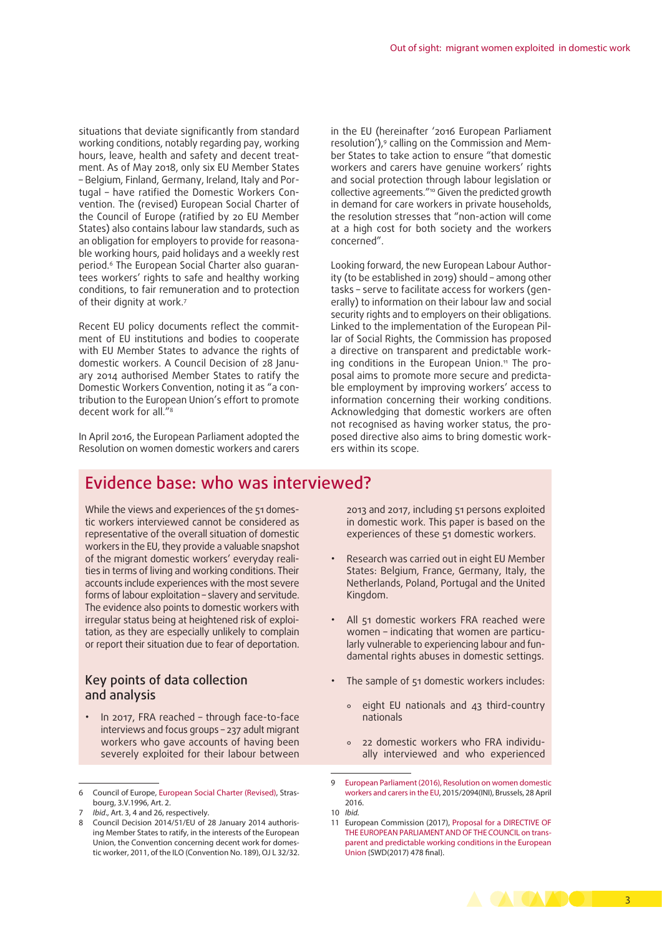situations that deviate significantly from standard working conditions, notably regarding pay, working hours, leave, health and safety and decent treatment. As of May 2018, only six EU Member States – Belgium, Finland, Germany, Ireland, Italy and Portugal – have ratified the Domestic Workers Convention. The (revised) European Social Charter of the Council of Europe (ratified by 20 EU Member States) also contains labour law standards, such as an obligation for employers to provide for reasonable working hours, paid holidays and a weekly rest period.6 The European Social Charter also guarantees workers' rights to safe and healthy working conditions, to fair remuneration and to protection of their dignity at work.<sup>7</sup>

Recent EU policy documents reflect the commitment of EU institutions and bodies to cooperate with EU Member States to advance the rights of domestic workers. A Council Decision of 28 January 2014 authorised Member States to ratify the Domestic Workers Convention, noting it as "a contribution to the European Union's effort to promote decent work for all."8

In April 2016, the European Parliament adopted the Resolution on women domestic workers and carers

in the EU (hereinafter '2016 European Parliament resolution'),<sup>9</sup> calling on the Commission and Member States to take action to ensure "that domestic workers and carers have genuine workers' rights and social protection through labour legislation or collective agreements."10 Given the predicted growth in demand for care workers in private households, the resolution stresses that "non-action will come at a high cost for both society and the workers concerned".

Looking forward, the new European Labour Authority (to be established in 2019) should – among other tasks – serve to facilitate access for workers (generally) to information on their labour law and social security rights and to employers on their obligations. Linked to the implementation of the European Pillar of Social Rights, the Commission has proposed a directive on transparent and predictable working conditions in the European Union.<sup>11</sup> The proposal aims to promote more secure and predictable employment by improving workers' access to information concerning their working conditions. Acknowledging that domestic workers are often not recognised as having worker status, the proposed directive also aims to bring domestic workers within its scope.

# Evidence base: who was interviewed?

While the views and experiences of the 51 domestic workers interviewed cannot be considered as representative of the overall situation of domestic workers in the EU, they provide a valuable snapshot of the migrant domestic workers' everyday realities in terms of living and working conditions. Their accounts include experiences with the most severe forms of labour exploitation – slavery and servitude. The evidence also points to domestic workers with irregular status being at heightened risk of exploitation, as they are especially unlikely to complain or report their situation due to fear of deportation.

## Key points of data collection and analysis

• In 2017, FRA reached – through face-to-face interviews and focus groups – 237 adult migrant workers who gave accounts of having been severely exploited for their labour between

2013 and 2017, including 51 persons exploited in domestic work. This paper is based on the experiences of these 51 domestic workers.

- Research was carried out in eight EU Member States: Belgium, France, Germany, Italy, the Netherlands, Poland, Portugal and the United Kingdom.
- All 51 domestic workers FRA reached were women – indicating that women are particularly vulnerable to experiencing labour and fundamental rights abuses in domestic settings.
- The sample of 51 domestic workers includes:
	- ° eight EU nationals and 43 third-country nationals
	- ° 22 domestic workers who FRA individually interviewed and who experienced

<sup>11</sup> European Commission (2017), [Proposal for a DIRECTIVE OF](https://eur-lex.europa.eu/legal-content/EN/TXT/HTML/?uri=CELEX:52017PC0797&from=EN) [THE EUROPEAN PARLIAMENT AND OF THE COUNCIL on trans](https://eur-lex.europa.eu/legal-content/EN/TXT/HTML/?uri=CELEX:52017PC0797&from=EN)[parent and predictable working conditions in the European](https://eur-lex.europa.eu/legal-content/EN/TXT/HTML/?uri=CELEX:52017PC0797&from=EN) [Union](https://eur-lex.europa.eu/legal-content/EN/TXT/HTML/?uri=CELEX:52017PC0797&from=EN) {SWD(2017) 478 final}.



<sup>6</sup> Council of Europe, [European Social Charter \(Revised\)](https://www.coe.int/en/web/conventions/full-list/-/conventions/rms/090000168007cf93), Strasbourg, 3.V.1996, Art. 2.

*Ibid.*, Art. 3, 4 and 26, respectively.

<sup>8</sup> Council Decision 2014/51/EU of 28 January 2014 authorising Member States to ratify, in the interests of the European Union, the Convention concerning decent work for domestic worker, 2011, of the ILO (Convention No. 189), OJ L 32/32.

<sup>9</sup> [European Parliament \(2016\), Resolution on women domestic](http://www.europarl.europa.eu/sides/getDoc.do?pubRef=-//EP//TEXT+TA+P8-TA-2016-0203+0+DOC+XML+V0//EN) [workers and carers in the EU](http://www.europarl.europa.eu/sides/getDoc.do?pubRef=-//EP//TEXT+TA+P8-TA-2016-0203+0+DOC+XML+V0//EN), 2015/2094(INI), Brussels, 28 April 2016.

<sup>10</sup> *Ibid.*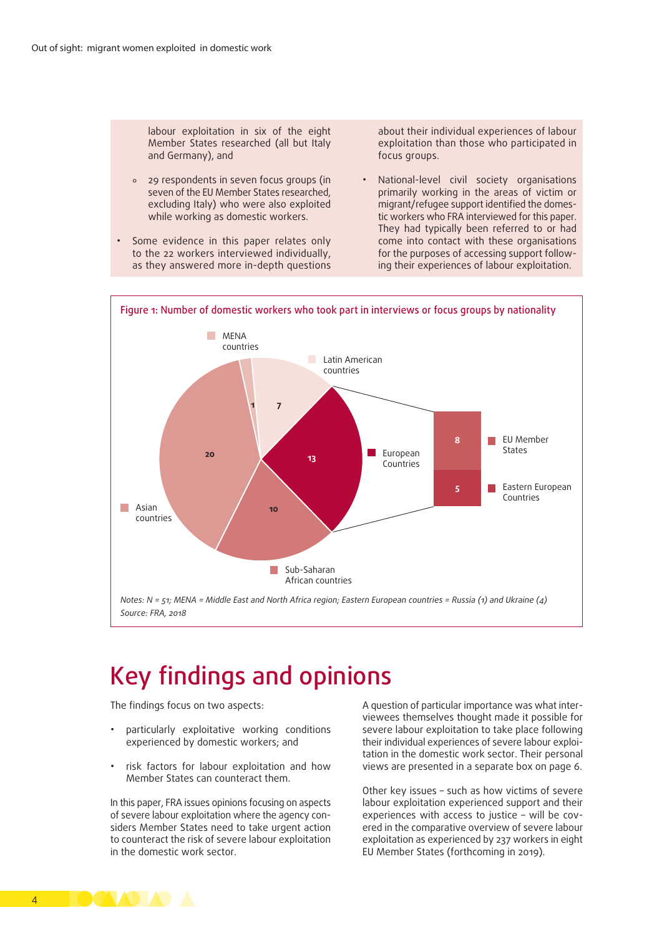labour exploitation in six of the eight Member States researched (all but Italy and Germany), and

- ° 29 respondents in seven focus groups (in seven of the EU Member States researched, excluding Italy) who were also exploited while working as domestic workers.
- Some evidence in this paper relates only to the 22 workers interviewed individually, as they answered more in-depth questions

about their individual experiences of labour exploitation than those who participated in focus groups.

• National-level civil society organisations primarily working in the areas of victim or migrant/refugee support identified the domestic workers who FRA interviewed for this paper. They had typically been referred to or had come into contact with these organisations for the purposes of accessing support following their experiences of labour exploitation.



# Key findings and opinions

The findings focus on two aspects:

- particularly exploitative working conditions experienced by domestic workers; and
- risk factors for labour exploitation and how Member States can counteract them.

In this paper, FRA issues opinions focusing on aspects of severe labour exploitation where the agency considers Member States need to take urgent action to counteract the risk of severe labour exploitation in the domestic work sector.

A question of particular importance was what interviewees themselves thought made it possible for severe labour exploitation to take place following their individual experiences of severe labour exploitation in the domestic work sector. Their personal views are presented in a separate box on page 6.

Other key issues – such as how victims of severe labour exploitation experienced support and their experiences with access to justice – will be covered in the comparative overview of severe labour exploitation as experienced by 237 workers in eight EU Member States (forthcoming in 2019).

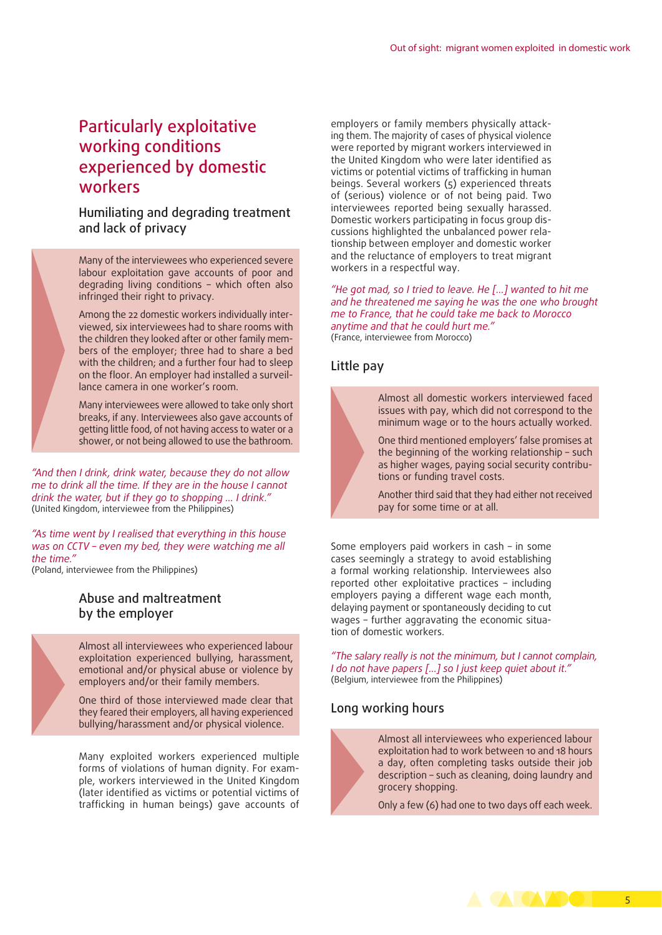# Particularly exploitative working conditions experienced by domestic workers

Humiliating and degrading treatment and lack of privacy

Many of the interviewees who experienced severe labour exploitation gave accounts of poor and degrading living conditions – which often also infringed their right to privacy.

Among the 22 domestic workers individually interviewed, six interviewees had to share rooms with the children they looked after or other family members of the employer; three had to share a bed with the children; and a further four had to sleep on the floor. An employer had installed a surveillance camera in one worker's room.

Many interviewees were allowed to take only short breaks, if any. Interviewees also gave accounts of getting little food, of not having access to water or a shower, or not being allowed to use the bathroom.

*"And then I drink, drink water, because they do not allow me to drink all the time. If they are in the house I cannot drink the water, but if they go to shopping … I drink."*  (United Kingdom, interviewee from the Philippines)

*"As time went by I realised that everything in this house was on CCTV – even my bed, they were watching me all the time."* 

(Poland, interviewee from the Philippines)

### Abuse and maltreatment by the employer

Almost all interviewees who experienced labour exploitation experienced bullying, harassment, emotional and/or physical abuse or violence by employers and/or their family members.

One third of those interviewed made clear that they feared their employers, all having experienced bullying/harassment and/or physical violence.

Many exploited workers experienced multiple forms of violations of human dignity. For example, workers interviewed in the United Kingdom (later identified as victims or potential victims of trafficking in human beings) gave accounts of

employers or family members physically attacking them. The majority of cases of physical violence were reported by migrant workers interviewed in the United Kingdom who were later identified as victims or potential victims of trafficking in human beings. Several workers (5) experienced threats of (serious) violence or of not being paid. Two interviewees reported being sexually harassed. Domestic workers participating in focus group discussions highlighted the unbalanced power relationship between employer and domestic worker and the reluctance of employers to treat migrant workers in a respectful way.

*"He got mad, so I tried to leave. He […] wanted to hit me and he threatened me saying he was the one who brought me to France, that he could take me back to Morocco anytime and that he could hurt me."*  (France, interviewee from Morocco)

## Little pay

Almost all domestic workers interviewed faced issues with pay, which did not correspond to the minimum wage or to the hours actually worked.

One third mentioned employers' false promises at the beginning of the working relationship – such as higher wages, paying social security contributions or funding travel costs.

Another third said that they had either not received pay for some time or at all.

Some employers paid workers in cash – in some cases seemingly a strategy to avoid establishing a formal working relationship. Interviewees also reported other exploitative practices – including employers paying a different wage each month, delaying payment or spontaneously deciding to cut wages – further aggravating the economic situation of domestic workers.

*"The salary really is not the minimum, but I cannot complain, I do not have papers […] so I just keep quiet about it."* (Belgium, interviewee from the Philippines)

## Long working hours

Almost all interviewees who experienced labour exploitation had to work between 10 and 18 hours a day, often completing tasks outside their job description – such as cleaning, doing laundry and grocery shopping.

Only a few (6) had one to two days off each week.

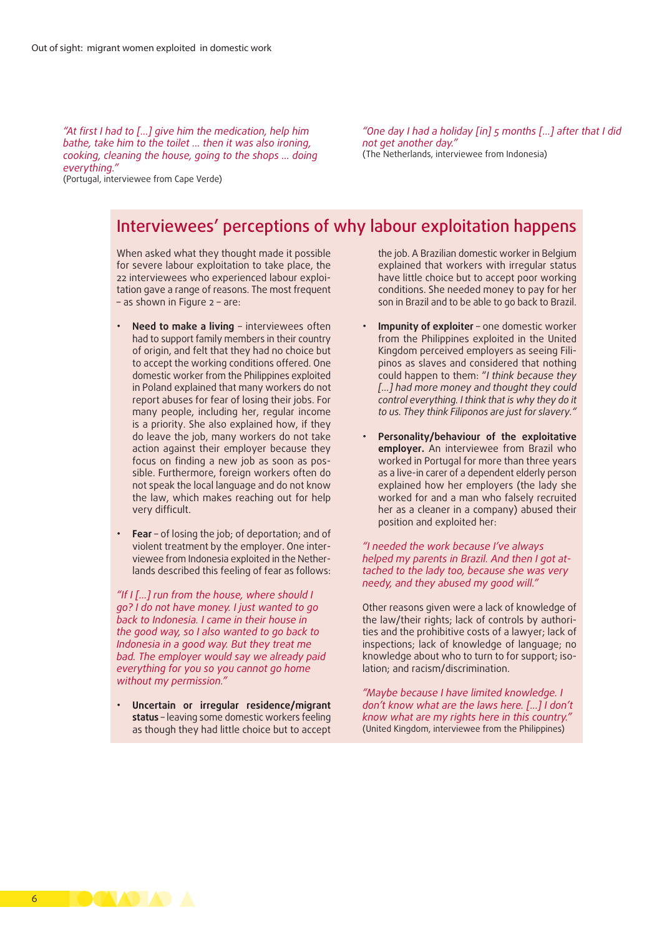*"At first I had to […] give him the medication, help him bathe, take him to the toilet … then it was also ironing, cooking, cleaning the house, going to the shops … doing everything."* (Portugal, interviewee from Cape Verde)

*"One day I had a holiday [in] 5 months […] after that I did not get another day."*  (The Netherlands, interviewee from Indonesia)

# Interviewees' perceptions of why labour exploitation happens

When asked what they thought made it possible for severe labour exploitation to take place, the 22 interviewees who experienced labour exploitation gave a range of reasons. The most frequent – as shown in Figure 2 – are:

- **Need to make a living** interviewees often had to support family members in their country of origin, and felt that they had no choice but to accept the working conditions offered. One domestic worker from the Philippines exploited in Poland explained that many workers do not report abuses for fear of losing their jobs. For many people, including her, regular income is a priority. She also explained how, if they do leave the job, many workers do not take action against their employer because they focus on finding a new job as soon as possible. Furthermore, foreign workers often do not speak the local language and do not know the law, which makes reaching out for help very difficult.
- **Fear** of losing the job; of deportation; and of violent treatment by the employer. One interviewee from Indonesia exploited in the Netherlands described this feeling of fear as follows:

*"If I [...] run from the house, where should I go? I do not have money. I just wanted to go back to Indonesia. I came in their house in the good way, so I also wanted to go back to Indonesia in a good way. But they treat me bad. The employer would say we already paid everything for you so you cannot go home without my permission."*

• **Uncertain or irregular residence/migrant status** – leaving some domestic workers feeling as though they had little choice but to accept

the job. A Brazilian domestic worker in Belgium explained that workers with irregular status have little choice but to accept poor working conditions. She needed money to pay for her son in Brazil and to be able to go back to Brazil.

- **Impunity of exploiter** one domestic worker from the Philippines exploited in the United Kingdom perceived employers as seeing Filipinos as slaves and considered that nothing could happen to them: "*I think because they [...] had more money and thought they could control everything. I think that is why they do it to us. They think Filiponos are just for slavery."*
- **Personality/behaviour of the exploitative employer.** An interviewee from Brazil who worked in Portugal for more than three years as a live-in carer of a dependent elderly person explained how her employers (the lady she worked for and a man who falsely recruited her as a cleaner in a company) abused their position and exploited her:

#### *"I needed the work because I've always helped my parents in Brazil. And then I got attached to the lady too, because she was very needy, and they abused my good will."*

Other reasons given were a lack of knowledge of the law/their rights; lack of controls by authorities and the prohibitive costs of a lawyer; lack of inspections; lack of knowledge of language; no knowledge about who to turn to for support; isolation; and racism/discrimination.

*"Maybe because I have limited knowledge. I don't know what are the laws here. [...] I don't know what are my rights here in this country."*  (United Kingdom, interviewee from the Philippines)

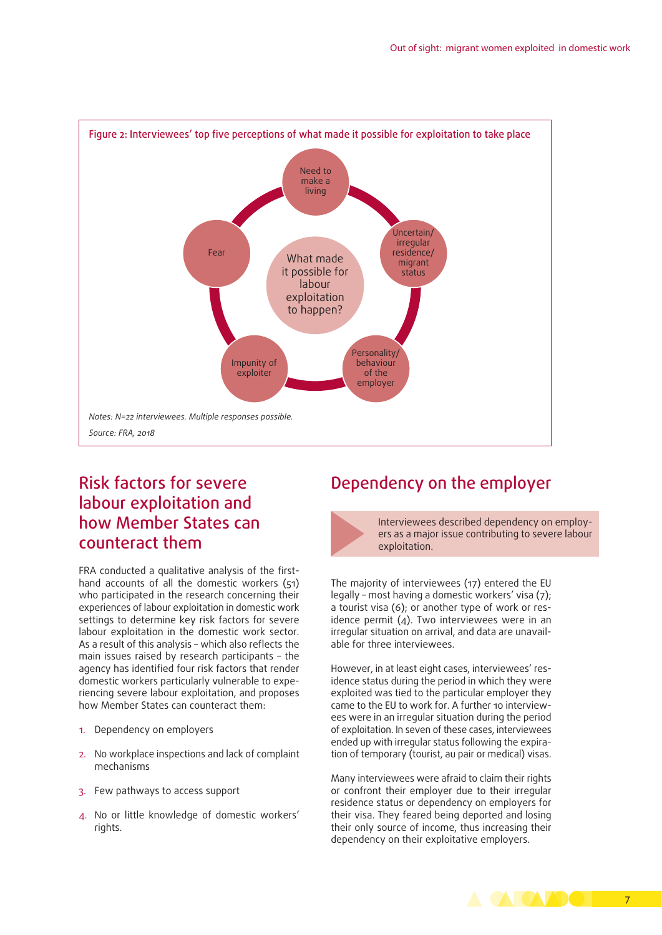

# Risk factors for severe labour exploitation and how Member States can counteract them

FRA conducted a qualitative analysis of the firsthand accounts of all the domestic workers (51) who participated in the research concerning their experiences of labour exploitation in domestic work settings to determine key risk factors for severe labour exploitation in the domestic work sector. As a result of this analysis – which also reflects the main issues raised by research participants – the agency has identified four risk factors that render domestic workers particularly vulnerable to experiencing severe labour exploitation, and proposes how Member States can counteract them:

- 1. Dependency on employers
- 2. No workplace inspections and lack of complaint mechanisms
- 3. Few pathways to access support
- 4. No or little knowledge of domestic workers' rights.

# Dependency on the employer

Interviewees described dependency on employers as a major issue contributing to severe labour exploitation.

The majority of interviewees (17) entered the EU legally – most having a domestic workers' visa (7); a tourist visa (6); or another type of work or residence permit  $(4)$ . Two interviewees were in an irregular situation on arrival, and data are unavailable for three interviewees.

However, in at least eight cases, interviewees' residence status during the period in which they were exploited was tied to the particular employer they came to the EU to work for. A further 10 interviewees were in an irregular situation during the period of exploitation. In seven of these cases, interviewees ended up with irregular status following the expiration of temporary (tourist, au pair or medical) visas.

Many interviewees were afraid to claim their rights or confront their employer due to their irregular residence status or dependency on employers for their visa. They feared being deported and losing their only source of income, thus increasing their dependency on their exploitative employers.

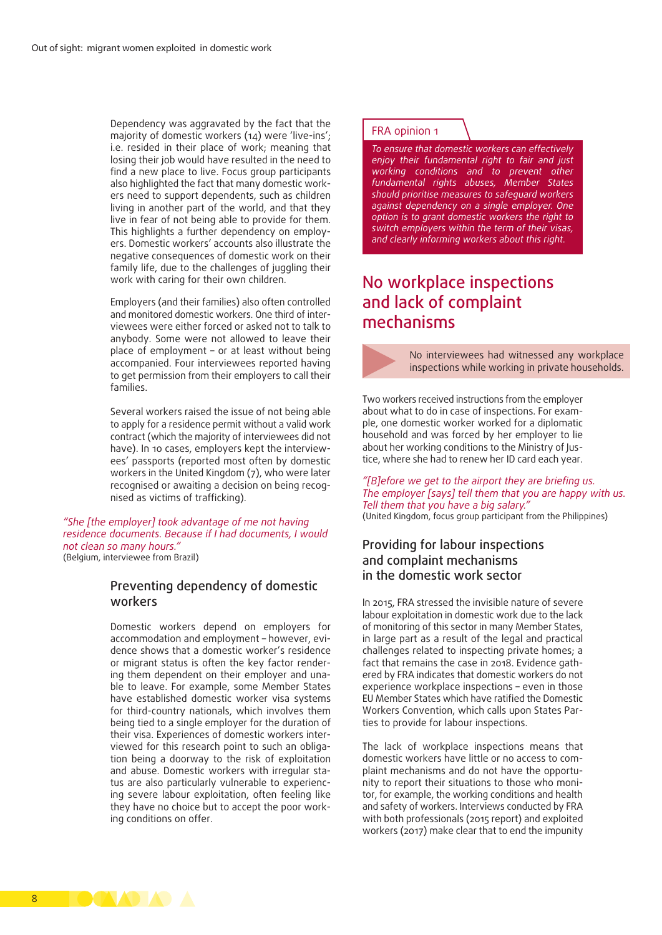Dependency was aggravated by the fact that the majority of domestic workers (14) were 'live-ins'; i.e. resided in their place of work; meaning that losing their job would have resulted in the need to find a new place to live. Focus group participants also highlighted the fact that many domestic workers need to support dependents, such as children living in another part of the world, and that they live in fear of not being able to provide for them. This highlights a further dependency on employers. Domestic workers' accounts also illustrate the negative consequences of domestic work on their family life, due to the challenges of juggling their work with caring for their own children.

Employers (and their families) also often controlled and monitored domestic workers. One third of interviewees were either forced or asked not to talk to anybody. Some were not allowed to leave their place of employment – or at least without being accompanied. Four interviewees reported having to get permission from their employers to call their families.

Several workers raised the issue of not being able to apply for a residence permit without a valid work contract (which the majority of interviewees did not have). In 10 cases, employers kept the interviewees' passports (reported most often by domestic workers in the United Kingdom (7), who were later recognised or awaiting a decision on being recognised as victims of trafficking).

*"She [the employer] took advantage of me not having residence documents. Because if I had documents, I would not clean so many hours."*  (Belgium, interviewee from Brazil)

## Preventing dependency of domestic workers

Domestic workers depend on employers for accommodation and employment – however, evidence shows that a domestic worker's residence or migrant status is often the key factor rendering them dependent on their employer and unable to leave. For example, some Member States have established domestic worker visa systems for third-country nationals, which involves them being tied to a single employer for the duration of their visa. Experiences of domestic workers interviewed for this research point to such an obligation being a doorway to the risk of exploitation and abuse. Domestic workers with irregular status are also particularly vulnerable to experiencing severe labour exploitation, often feeling like they have no choice but to accept the poor working conditions on offer.

#### FRA opinion 1

*To ensure that domestic workers can effectively enjoy their fundamental right to fair and just working conditions and to prevent other fundamental rights abuses, Member States should prioritise measures to safeguard workers against dependency on a single employer. One option is to grant domestic workers the right to switch employers within the term of their visas, and clearly informing workers about this right.* 

# No workplace inspections and lack of complaint mechanisms



No interviewees had witnessed any workplace inspections while working in private households.

Two workers received instructions from the employer about what to do in case of inspections. For example, one domestic worker worked for a diplomatic household and was forced by her employer to lie about her working conditions to the Ministry of Justice, where she had to renew her ID card each year.

*"[B]efore we get to the airport they are briefing us. The employer [says] tell them that you are happy with us. Tell them that you have a big salary."*  (United Kingdom, focus group participant from the Philippines)

## Providing for labour inspections and complaint mechanisms in the domestic work sector

In 2015, FRA stressed the invisible nature of severe labour exploitation in domestic work due to the lack of monitoring of this sector in many Member States, in large part as a result of the legal and practical challenges related to inspecting private homes; a fact that remains the case in 2018. Evidence gathered by FRA indicates that domestic workers do not experience workplace inspections – even in those EU Member States which have ratified the Domestic Workers Convention, which calls upon States Parties to provide for labour inspections.

The lack of workplace inspections means that domestic workers have little or no access to complaint mechanisms and do not have the opportunity to report their situations to those who monitor, for example, the working conditions and health and safety of workers. Interviews conducted by FRA with both professionals (2015 report) and exploited workers (2017) make clear that to end the impunity

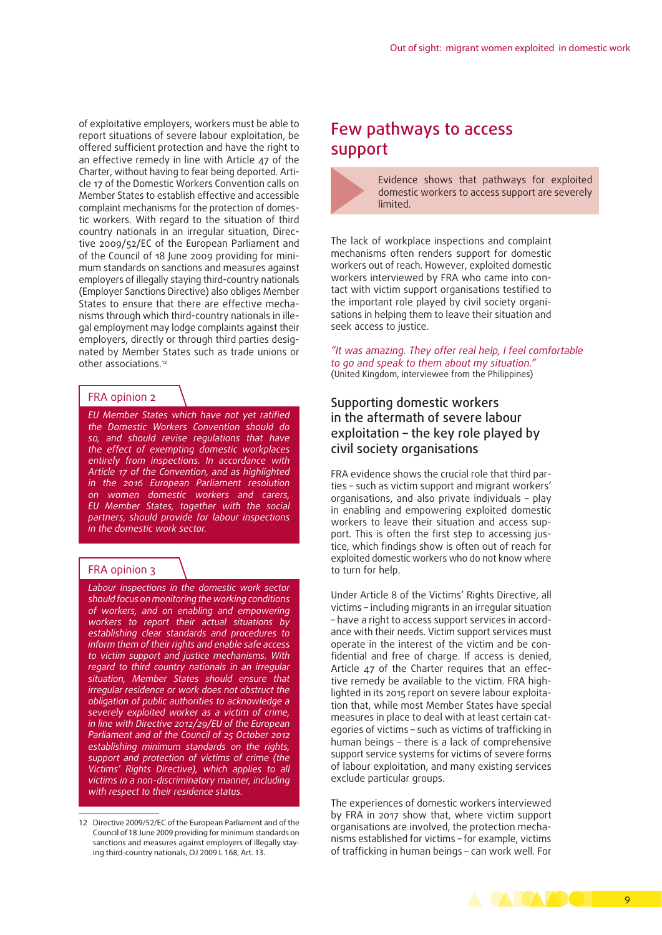of exploitative employers, workers must be able to report situations of severe labour exploitation, be offered sufficient protection and have the right to an effective remedy in line with Article 47 of the Charter, without having to fear being deported. Article 17 of the Domestic Workers Convention calls on Member States to establish effective and accessible complaint mechanisms for the protection of domestic workers. With regard to the situation of third country nationals in an irregular situation, Directive 2009/52/EC of the European Parliament and of the Council of 18 June 2009 providing for minimum standards on sanctions and measures against employers of illegally staying third-country nationals (Employer Sanctions Directive) also obliges Member States to ensure that there are effective mechanisms through which third-country nationals in illegal employment may lodge complaints against their employers, directly or through third parties designated by Member States such as trade unions or other associations.<sup>12</sup>

#### FRA opinion 2

*EU Member States which have not yet ratified the Domestic Workers Convention should do so, and should revise regulations that have the effect of exempting domestic workplaces entirely from inspections. In accordance with Article 17 of the Convention, and as highlighted in the 2016 European Parliament resolution on women domestic workers and carers, EU Member States, together with the social partners, should provide for labour inspections in the domestic work sector.*

#### FRA opinion 3

*Labour inspections in the domestic work sector should focus on monitoring the working conditions of workers, and on enabling and empowering workers to report their actual situations by establishing clear standards and procedures to inform them of their rights and enable safe access to victim support and justice mechanisms. With regard to third country nationals in an irregular situation, Member States should ensure that irregular residence or work does not obstruct the obligation of public authorities to acknowledge a severely exploited worker as a victim of crime, in line with Directive 2012/29/EU of the European Parliament and of the Council of 25 October 2012 establishing minimum standards on the rights, support and protection of victims of crime (the Victims' Rights Directive), which applies to all victims in a non-discriminatory manner, including with respect to their residence status.*

## Few pathways to access support

Evidence shows that pathways for exploited domestic workers to access support are severely limited.

The lack of workplace inspections and complaint mechanisms often renders support for domestic workers out of reach. However, exploited domestic workers interviewed by FRA who came into contact with victim support organisations testified to the important role played by civil society organisations in helping them to leave their situation and seek access to justice.

*"It was amazing. They offer real help, I feel comfortable to go and speak to them about my situation."*  (United Kingdom, interviewee from the Philippines)

## Supporting domestic workers in the aftermath of severe labour exploitation – the key role played by civil society organisations

FRA evidence shows the crucial role that third parties – such as victim support and migrant workers' organisations, and also private individuals – play in enabling and empowering exploited domestic workers to leave their situation and access support. This is often the first step to accessing justice, which findings show is often out of reach for exploited domestic workers who do not know where to turn for help.

Under Article 8 of the Victims' Rights Directive, all victims – including migrants in an irregular situation – have a right to access support services in accordance with their needs. Victim support services must operate in the interest of the victim and be confidential and free of charge. If access is denied, Article 47 of the Charter requires that an effective remedy be available to the victim. FRA highlighted in its 2015 report on severe labour exploitation that, while most Member States have special measures in place to deal with at least certain categories of victims – such as victims of trafficking in human beings – there is a lack of comprehensive support service systems for victims of severe forms of labour exploitation, and many existing services exclude particular groups.

The experiences of domestic workers interviewed by FRA in 2017 show that, where victim support organisations are involved, the protection mechanisms established for victims – for example, victims of trafficking in human beings – can work well. For



<sup>12</sup> Directive 2009/52/EC of the European Parliament and of the Council of 18 June 2009 providing for minimum standards on sanctions and measures against employers of illegally staying third-country nationals, OJ 2009 L 168, Art. 13.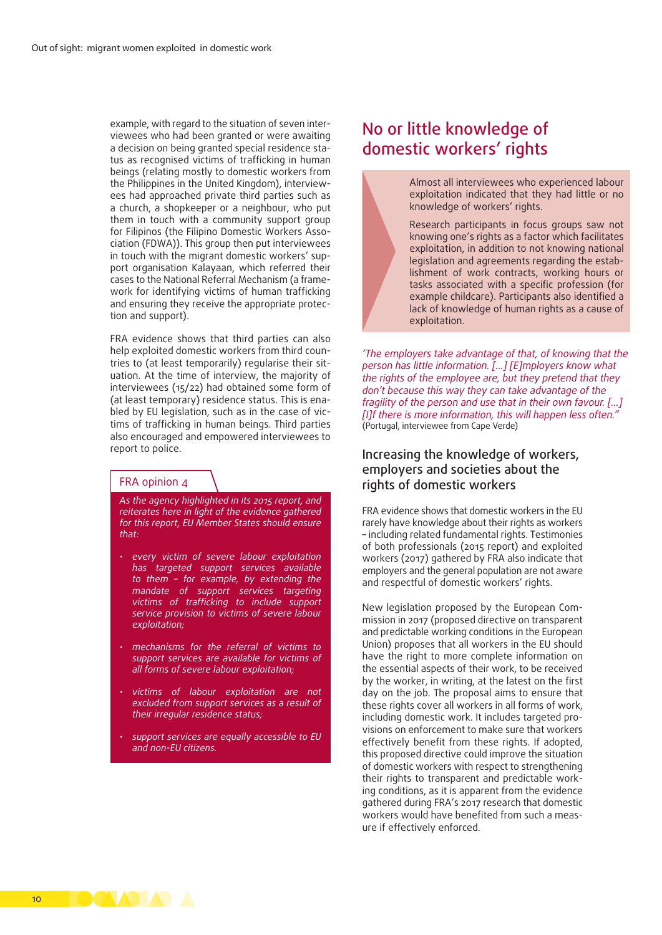example, with regard to the situation of seven interviewees who had been granted or were awaiting a decision on being granted special residence status as recognised victims of trafficking in human beings (relating mostly to domestic workers from the Philippines in the United Kingdom), interviewees had approached private third parties such as a church, a shopkeeper or a neighbour, who put them in touch with a community support group for Filipinos (the Filipino Domestic Workers Association (FDWA)). This group then put interviewees in touch with the migrant domestic workers' support organisation Kalayaan, which referred their cases to the National Referral Mechanism (a framework for identifying victims of human trafficking and ensuring they receive the appropriate protection and support).

FRA evidence shows that third parties can also help exploited domestic workers from third countries to (at least temporarily) regularise their situation. At the time of interview, the majority of interviewees (15/22) had obtained some form of (at least temporary) residence status. This is enabled by EU legislation, such as in the case of victims of trafficking in human beings. Third parties also encouraged and empowered interviewees to report to police.

#### FRA opinion 4

*As the agency highlighted in its 2015 report, and reiterates here in light of the evidence gathered for this report, EU Member States should ensure that:*

- *every victim of severe labour exploitation has targeted support services available to them – for example, by extending the mandate of support services targeting victims of trafficking to include support service provision to victims of severe labour exploitation;*
- *mechanisms for the referral of victims to support services are available for victims of all forms of severe labour exploitation;*
- *victims of labour exploitation are not excluded from support services as a result of their irregular residence status;*
- *support services are equally accessible to EU and non-EU citizens.*

# No or little knowledge of domestic workers' rights



Almost all interviewees who experienced labour exploitation indicated that they had little or no knowledge of workers' rights.

Research participants in focus groups saw not knowing one's rights as a factor which facilitates exploitation, in addition to not knowing national legislation and agreements regarding the establishment of work contracts, working hours or tasks associated with a specific profession (for example childcare). Participants also identified a lack of knowledge of human rights as a cause of exploitation.

*'The employers take advantage of that, of knowing that the person has little information. […] [E]mployers know what the rights of the employee are, but they pretend that they don't because this way they can take advantage of the fragility of the person and use that in their own favour. […] [I]f there is more information, this will happen less often."*  (Portugal, interviewee from Cape Verde)

## Increasing the knowledge of workers, employers and societies about the rights of domestic workers

FRA evidence shows that domestic workers in the EU rarely have knowledge about their rights as workers – including related fundamental rights. Testimonies of both professionals (2015 report) and exploited workers (2017) gathered by FRA also indicate that employers and the general population are not aware and respectful of domestic workers' rights.

New legislation proposed by the European Commission in 2017 (proposed directive on transparent and predictable working conditions in the European Union) proposes that all workers in the EU should have the right to more complete information on the essential aspects of their work, to be received by the worker, in writing, at the latest on the first day on the job. The proposal aims to ensure that these rights cover all workers in all forms of work, including domestic work. It includes targeted provisions on enforcement to make sure that workers effectively benefit from these rights. If adopted, this proposed directive could improve the situation of domestic workers with respect to strengthening their rights to transparent and predictable working conditions, as it is apparent from the evidence gathered during FRA's 2017 research that domestic workers would have benefited from such a measure if effectively enforced.

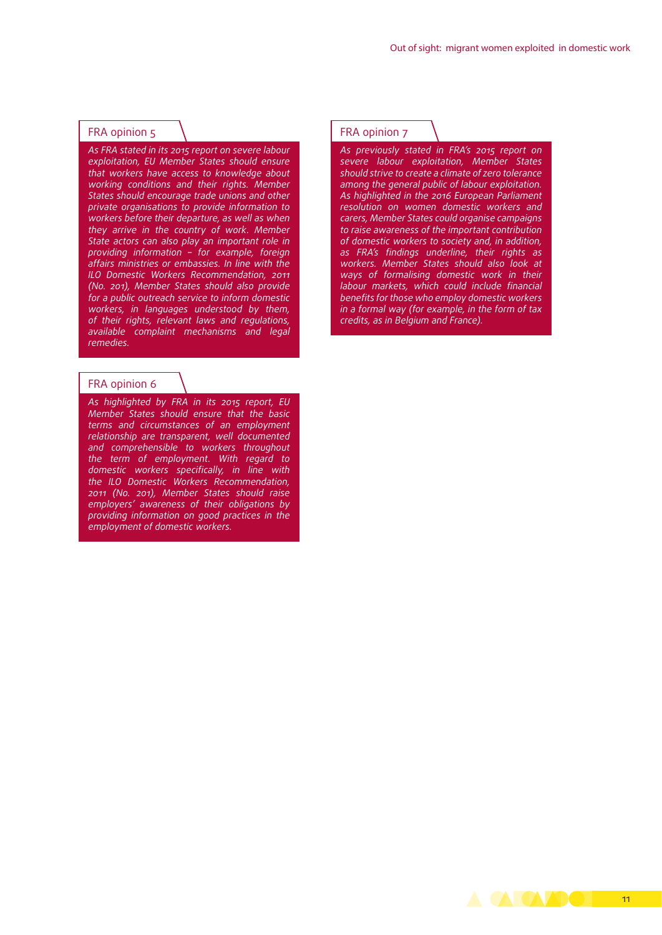#### FRA opinion 5

*As FRA stated in its 2015 report on severe labour exploitation, EU Member States should ensure that workers have access to knowledge about working conditions and their rights. Member States should encourage trade unions and other private organisations to provide information to workers before their departure, as well as when they arrive in the country of work. Member State actors can also play an important role in providing information – for example, foreign affairs ministries or embassies. In line with the ILO Domestic Workers Recommendation, 2011 (No. 201), Member States should also provide for a public outreach service to inform domestic workers, in languages understood by them, of their rights, relevant laws and regulations, available complaint mechanisms and legal remedies.*

#### FRA opinion 6

*As highlighted by FRA in its 2015 report, EU Member States should ensure that the basic terms and circumstances of an employment relationship are transparent, well documented and comprehensible to workers throughout the term of employment. With regard to domestic workers specifically, in line with the ILO Domestic Workers Recommendation, 2011 (No. 201), Member States should raise employers' awareness of their obligations by providing information on good practices in the employment of domestic workers.* 

#### FRA opinion 7

*As previously stated in FRA's 2015 report on severe labour exploitation, Member States should strive to create a climate of zero tolerance among the general public of labour exploitation. As highlighted in the 2016 European Parliament resolution on women domestic workers and carers, Member States could organise campaigns to raise awareness of the important contribution of domestic workers to society and, in addition, as FRA's findings underline, their rights as workers. Member States should also look at ways of formalising domestic work in their labour markets, which could include financial benefits for those who employ domestic workers in a formal way (for example, in the form of tax credits, as in Belgium and France).*